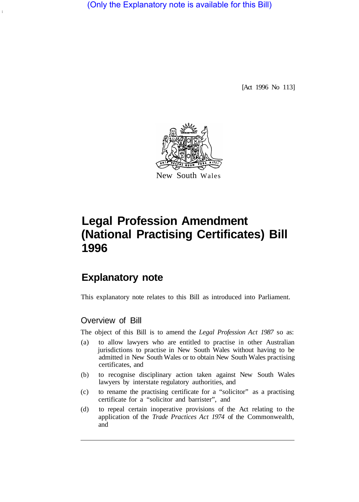(Only the Explanatory note is available for this Bill)

[Act 1996 No 113]



# **Legal Profession Amendment (National Practising Certificates) Bill 1996**

# **Explanatory note**

This explanatory note relates to this Bill as introduced into Parliament.

# Overview of Bill

The object of this Bill is to amend the *Legal Profession Act 1987* so as:

- (a) to allow lawyers who are entitled to practise in other Australian jurisdictions to practise in New South Wales without having to be admitted in New South Wales or to obtain New South Wales practising certificates, and
- (b) to recognise disciplinary action taken against New South Wales lawyers by interstate regulatory authorities, and
- (c) to rename the practising certificate for a "solicitor" as a practising certificate for a "solicitor and barrister", and
- (d) to repeal certain inoperative provisions of the Act relating to the application of the *Trade Practices Act 1974* of the Commonwealth, and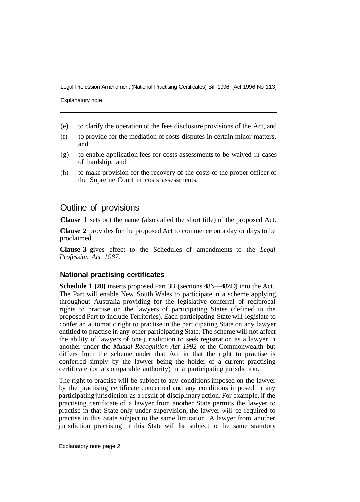Explanatory note

- (e) to clarify the operation of the fees disclosure provisions of the Act, and
- (f) to provide for the mediation of costs disputes in certain minor matters, and
- (g) to enable application fees for costs assessments to be waived in cases of hardship, and
- (h) to make provision for the recovery of the costs of the proper officer of the Supreme Court in costs assessments.

# Outline of provisions

**Clause 1** sets out the name (also called the short title) of the proposed Act.

**Clause 2** provides for the proposed Act to commence on a day or days to be proclaimed.

**Clause 3** gives effect to the Schedules of amendments to the *Legal Profession Act 1987.* 

# **National practising certificates**

**Schedule 1 [28]** inserts proposed Part 3B (sections 48N—48ZD) into the Act. The Part will enable New South Wales to participate in a scheme applying throughout Australia providing for the legislative conferral of reciprocal rights to practise on the lawyers of participating States (defined in the proposed Part to include Territories). Each participating State will legislate to confer an automatic right to practise in the participating State on any lawyer entitled to practise in any other participating State. The scheme will not affect the ability of lawyers of one jurisdiction to seek registration as a lawyer in another under the *Mutual Recognition Act 1992* of the Commonwealth but differs from the scheme under that Act in that the right to practise is conferred simply by the lawyer being the holder of a current practising certificate (or a comparable authority) in a participating jurisdiction.

The right to practise will be subject to any conditions imposed on the lawyer by the practising certificate concerned and any conditions imposed in any participating jurisdiction as a result of disciplinary action. For example, if the practising certificate of a lawyer from another State permits the lawyer to practise in that State only under supervision, the lawyer will be required to practise in this State subject to the same limitation. A lawyer from another jurisdiction practising in this State will be subject to the same statutory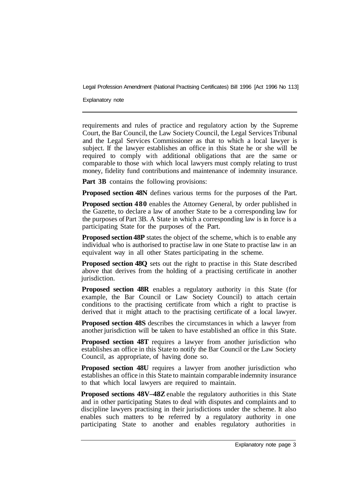Explanatory note

requirements and rules of practice and regulatory action by the Supreme Court, the Bar Council, the Law Society Council, the Legal Services Tribunal and the Legal Services Commissioner as that to which a local lawyer is subject. If the lawyer establishes an office in this State he or she will be required to comply with additional obligations that are the same or comparable to those with which local lawyers must comply relating to trust money, fidelity fund contributions and maintenance of indemnity insurance.

**Part 3B** contains the following provisions:

**Proposed section 48N** defines various terms for the purposes of the Part.

**Proposed section 480** enables the Attorney General, by order published in the Gazette, to declare a law of another State to be a corresponding law for the purposes of Part 3B. A State in which a corresponding law is in force is a participating State for the purposes of the Part.

**Proposed section 48P** states the object of the scheme, which is to enable any individual who is authorised to practise law in one State to practise law in an equivalent way in all other States participating in the scheme.

**Proposed section 48Q** sets out the right to practise in this State described above that derives from the holding of a practising certificate in another jurisdiction.

**Proposed section 48R** enables a regulatory authority in this State (for example, the Bar Council or Law Society Council) to attach certain conditions to the practising certificate from which a right to practise is derived that it might attach to the practising certificate of a local lawyer.

**Proposed section 48S** describes the circumstances in which a lawyer from another jurisdiction will be taken to have established an office in this State.

**Proposed section 48T** requires a lawyer from another jurisdiction who establishes an office in this State to notify the Bar Council or the Law Society Council, as appropriate, of having done so.

**Proposed section 48U** requires a lawyer from another jurisdiction who establishes an office in this State to maintain comparable indemnity insurance to that which local lawyers are required to maintain.

**Proposed sections 48V–48Z** enable the regulatory authorities in this State and in other participating States to deal with disputes and complaints and to discipline lawyers practising in their jurisdictions under the scheme. It also enables such matters to be referred by a regulatory authority in one participating State to another and enables regulatory authorities in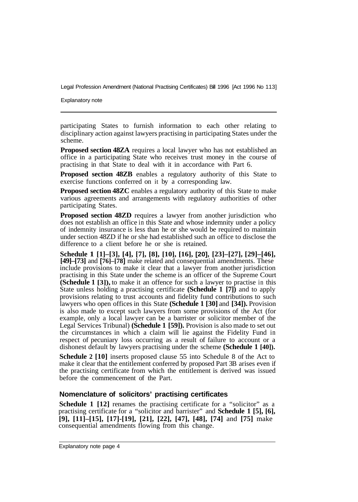Explanatory note

participating States to furnish information to each other relating to disciplinary action against lawyers practising in participating States under the scheme.

**Proposed section 48ZA** requires a local lawyer who has not established an office in a participating State who receives trust money in the course of practising in that State to deal with it in accordance with Part 6.

**Proposed section 48ZB** enables a regulatory authority of this State to exercise functions conferred on it by a corresponding law.

**Proposed section 48ZC** enables a regulatory authority of this State to make various agreements and arrangements with regulatory authorities of other participating States.

**Proposed section 48ZD** requires a lawyer from another jurisdiction who does not establish an office in this State and whose indemnity under a policy of indemnity insurance is less than he or she would be required to maintain under section 48ZD if he or she had established such an office to disclose the difference to a client before he or she is retained.

**Schedule 1 [1]–[3], [4], [7], [8], [10], [16], [20], [23]–[27], [29]–[46], [49]–[73]** and **[76]–[78]** make related and consequential amendments. These include provisions to make it clear that a lawyer from another jurisdiction practising in this State under the scheme is an officer of the Supreme Court **(Schedule 1 [3]),** to make it an offence for such a lawyer to practise in this State unless holding a practising certificate **(Schedule 1 [7])** and to apply provisions relating to trust accounts and fidelity fund contributions to such lawyers who open offices in this State **(Schedule 1 [30]** and **[34]).** Provision is also made to except such lawyers from some provisions of the Act (for example, only a local lawyer can be a barrister or solicitor member of the Legal Services Tribunal) **(Schedule 1 [59]).** Provision is also made to set out the circumstances in which a claim will lie against the Fidelity Fund in respect of pecuniary loss occurring as a result of failure to account or a dishonest default by lawyers practising under the scheme **(Schedule 1 [40]).** 

**Schedule 2 [10]** inserts proposed clause 55 into Schedule 8 of the Act to make it clear that the entitlement conferred by proposed Part 3B arises even if the practising certificate from which the entitlement is derived was issued before the commencement of the Part.

#### **Nomenclature of solicitors' practising certificates**

**Schedule 1 [12]** renames the practising certificate for a "solicitor" as a practising certificate for a "solicitor and barrister" and **Schedule 1 [5], [6], [9], [11]–[15], [17]-[19], [21], [22], [47], [48], [74]** and **[75]** make consequential amendments flowing from this change.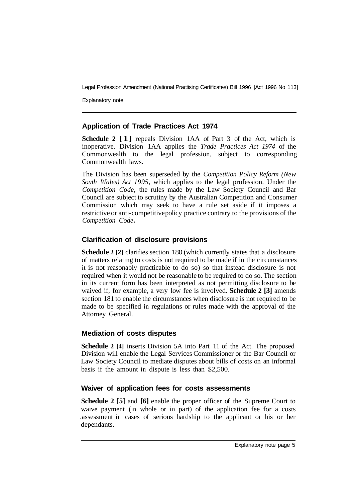Explanatory note

#### **Application of Trade Practices Act 1974**

**Schedule 2 [1]** repeals Division 1AA of Part 3 of the Act, which is inoperative. Division 1AA applies the *Trade Practices Act 1974* of the Commonwealth to the legal profession, subject to corresponding Commonwealth laws.

The Division has been superseded by the *Competition Policy Reform (New South Wales) Act 1995,* which applies to the legal profession. Under the *Competition Code,* the rules made by the Law Society Council and Bar Council are subject to scrutiny by the Australian Competition and Consumer Commission which may seek to have a rule set aside if it imposes a restrictive or anti-competitive policy practice contrary to the provisions of the *Competition Code* 

# **Clarification of disclosure provisions**

**Schedule 2** [2] clarifies section 180 (which currently states that a disclosure of matters relating to costs is not required to be made if in the circumstances it is not reasonably practicable to do so) so that instead disclosure is not required when it would not be reasonable to be required to do so. The section in its current form has been interpreted as not permitting disclosure to be waived if, for example, a very low fee is involved. **Schedule 2 [3]** amends section 181 to enable the circumstances when disclosure is not required to be made to be specified in regulations or rules made with the approval of the Attorney General.

# **Mediation of costs disputes**

**Schedule 2 [4]** inserts Division 5A into Part 11 of the Act. The proposed Division will enable the Legal Services Commissioner or the Bar Council or Law Society Council to mediate disputes about bills of costs on an informal basis if the amount in dispute is less than \$2,500.

# **Waiver of application fees for costs assessments**

**Schedule 2 [5]** and **[6]** enable the proper officer of the Supreme Court to waive payment (in whole or in part) of the application fee for a costs .assessment in cases of serious hardship to the applicant or his or her dependants.